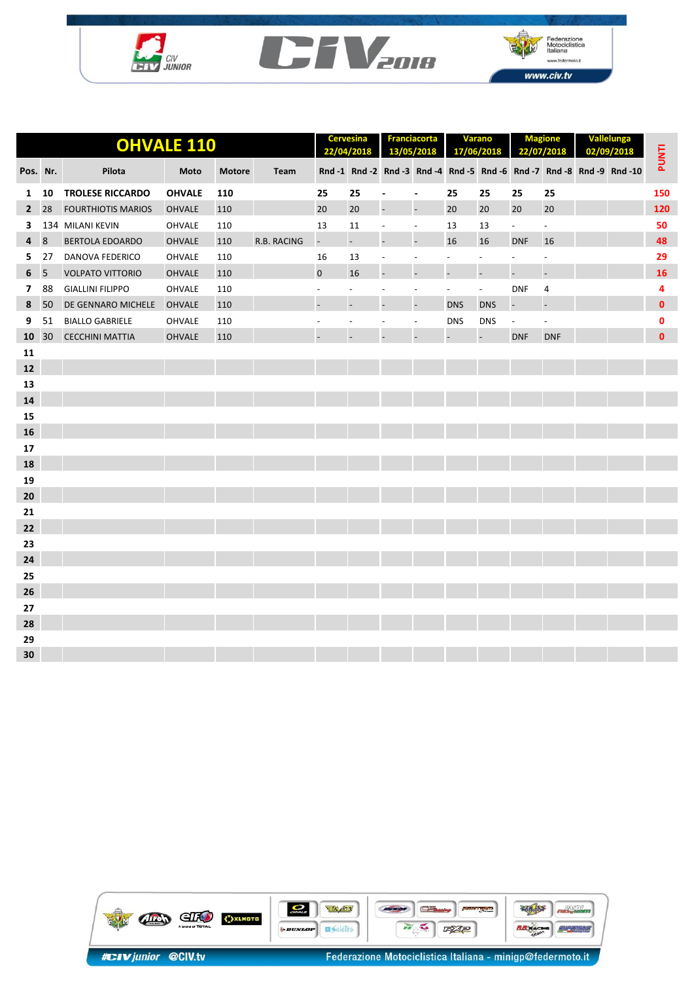





|              | <b>OHVALE 110</b> |                           |               |               |             |                          | <b>Cervesina</b><br>22/04/2018 |                          | <b>Franciacorta</b><br>13/05/2018 |                          | <b>Varano</b><br>17/06/2018 | <b>Magione</b><br>22/07/2018 |                          | Vallelunga<br>02/09/2018 |                                                                        | <b>PUNTI</b> |
|--------------|-------------------|---------------------------|---------------|---------------|-------------|--------------------------|--------------------------------|--------------------------|-----------------------------------|--------------------------|-----------------------------|------------------------------|--------------------------|--------------------------|------------------------------------------------------------------------|--------------|
| Pos. Nr.     |                   | Pilota                    | Moto          | <b>Motore</b> | Team        |                          |                                |                          |                                   |                          |                             |                              |                          |                          | Rnd -1 Rnd -2 Rnd -3 Rnd -4 Rnd -5 Rnd -6 Rnd -7 Rnd -8 Rnd -9 Rnd -10 |              |
| 1            | 10                | <b>TROLESE RICCARDO</b>   | <b>OHVALE</b> | 110           |             | 25                       | 25                             | $\overline{\phantom{a}}$ | $\overline{\phantom{a}}$          | 25                       | 25                          | 25                           | 25                       |                          |                                                                        | 150          |
| $\mathbf{2}$ | 28                | <b>FOURTHIOTIS MARIOS</b> | <b>OHVALE</b> | 110           |             | 20                       | 20                             | $\overline{a}$           | $\overline{a}$                    | 20                       | 20                          | 20                           | 20                       |                          |                                                                        | 120          |
| 3            |                   | 134 MILANI KEVIN          | <b>OHVALE</b> | 110           |             | 13                       | 11                             | $\overline{\phantom{a}}$ | $\overline{\phantom{a}}$          | 13                       | 13                          | $\blacksquare$               | $\overline{\phantom{a}}$ |                          |                                                                        | 50           |
| 4            | 8                 | <b>BERTOLA EDOARDO</b>    | <b>OHVALE</b> | 110           | R.B. RACING | $\overline{\phantom{a}}$ | ÷,                             | $\overline{a}$           | $\overline{a}$                    | 16                       | 16                          | <b>DNF</b>                   | 16                       |                          |                                                                        | 48           |
| 5.           | 27                | <b>DANOVA FEDERICO</b>    | OHVALE        | 110           |             | 16                       | 13                             | $\overline{\phantom{a}}$ | $\overline{\phantom{a}}$          | $\overline{\phantom{a}}$ | $\overline{\phantom{a}}$    | $\overline{\phantom{a}}$     | $\overline{\phantom{a}}$ |                          |                                                                        | 29           |
| 6            | 5                 | <b>VOLPATO VITTORIO</b>   | <b>OHVALE</b> | 110           |             | 0                        | 16                             | $\overline{a}$           |                                   |                          | $\overline{a}$              | $\overline{a}$               | $\overline{a}$           |                          |                                                                        | 16           |
| $7^{\circ}$  | 88                | <b>GIALLINI FILIPPO</b>   | <b>OHVALE</b> | 110           |             | $\overline{\phantom{a}}$ | $\overline{\phantom{a}}$       | $\overline{\phantom{a}}$ | $\overline{\phantom{a}}$          | $\overline{\phantom{a}}$ | $\overline{\phantom{a}}$    | <b>DNF</b>                   | 4                        |                          |                                                                        | 4            |
| 8            | 50                | DE GENNARO MICHELE        | <b>OHVALE</b> | 110           |             | $\overline{\phantom{a}}$ | $\overline{\phantom{0}}$       | $\overline{\phantom{a}}$ | $\overline{\phantom{a}}$          | <b>DNS</b>               | <b>DNS</b>                  | $\overline{\phantom{a}}$     | $\overline{a}$           |                          |                                                                        | $\mathbf{0}$ |
| 9            | 51                | <b>BIALLO GABRIELE</b>    | OHVALE        | 110           |             |                          | $\overline{\phantom{a}}$       | $\overline{\phantom{a}}$ | $\overline{\phantom{a}}$          | <b>DNS</b>               | <b>DNS</b>                  | $\overline{\phantom{a}}$     | $\overline{\phantom{a}}$ |                          |                                                                        | 0            |
| 10           | 30                | <b>CECCHINI MATTIA</b>    | <b>OHVALE</b> | 110           |             |                          |                                |                          |                                   |                          |                             | <b>DNF</b>                   | <b>DNF</b>               |                          |                                                                        | $\mathbf{0}$ |
| 11           |                   |                           |               |               |             |                          |                                |                          |                                   |                          |                             |                              |                          |                          |                                                                        |              |
| 12           |                   |                           |               |               |             |                          |                                |                          |                                   |                          |                             |                              |                          |                          |                                                                        |              |
| 13           |                   |                           |               |               |             |                          |                                |                          |                                   |                          |                             |                              |                          |                          |                                                                        |              |
| 14           |                   |                           |               |               |             |                          |                                |                          |                                   |                          |                             |                              |                          |                          |                                                                        |              |
| 15           |                   |                           |               |               |             |                          |                                |                          |                                   |                          |                             |                              |                          |                          |                                                                        |              |
| 16           |                   |                           |               |               |             |                          |                                |                          |                                   |                          |                             |                              |                          |                          |                                                                        |              |
| 17           |                   |                           |               |               |             |                          |                                |                          |                                   |                          |                             |                              |                          |                          |                                                                        |              |
| 18           |                   |                           |               |               |             |                          |                                |                          |                                   |                          |                             |                              |                          |                          |                                                                        |              |
| 19           |                   |                           |               |               |             |                          |                                |                          |                                   |                          |                             |                              |                          |                          |                                                                        |              |
| 20           |                   |                           |               |               |             |                          |                                |                          |                                   |                          |                             |                              |                          |                          |                                                                        |              |
| 21           |                   |                           |               |               |             |                          |                                |                          |                                   |                          |                             |                              |                          |                          |                                                                        |              |
| 22           |                   |                           |               |               |             |                          |                                |                          |                                   |                          |                             |                              |                          |                          |                                                                        |              |
| 23           |                   |                           |               |               |             |                          |                                |                          |                                   |                          |                             |                              |                          |                          |                                                                        |              |
| 24           |                   |                           |               |               |             |                          |                                |                          |                                   |                          |                             |                              |                          |                          |                                                                        |              |
| 25           |                   |                           |               |               |             |                          |                                |                          |                                   |                          |                             |                              |                          |                          |                                                                        |              |
| 26           |                   |                           |               |               |             |                          |                                |                          |                                   |                          |                             |                              |                          |                          |                                                                        |              |
| 27           |                   |                           |               |               |             |                          |                                |                          |                                   |                          |                             |                              |                          |                          |                                                                        |              |
| 28           |                   |                           |               |               |             |                          |                                |                          |                                   |                          |                             |                              |                          |                          |                                                                        |              |
| 29           |                   |                           |               |               |             |                          |                                |                          |                                   |                          |                             |                              |                          |                          |                                                                        |              |
| 30           |                   |                           |               |               |             |                          |                                |                          |                                   |                          |                             |                              |                          |                          |                                                                        |              |

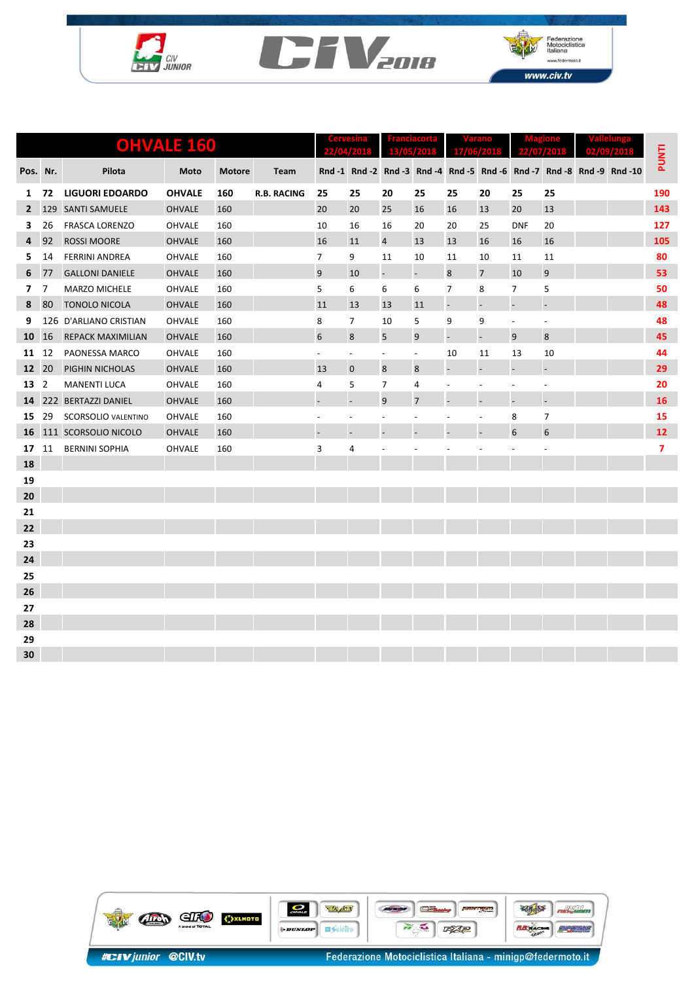





|                   | <b>OHVALE 160</b> |                            |               |               |                    |                          | 13.<br><b>OS/2018</b><br>2401.3 |                          | 17/06/201                |                              | 22.<br>07.<br>240 H      |                          | $\blacksquare$           |  |                                                                        |                |
|-------------------|-------------------|----------------------------|---------------|---------------|--------------------|--------------------------|---------------------------------|--------------------------|--------------------------|------------------------------|--------------------------|--------------------------|--------------------------|--|------------------------------------------------------------------------|----------------|
| Pos.              | Nr.               | Pilota                     | Moto          | <b>Motore</b> | Team               |                          |                                 |                          |                          |                              |                          |                          |                          |  | Rnd -1 Rnd -2 Rnd -3 Rnd -4 Rnd -5 Rnd -6 Rnd -7 Rnd -8 Rnd -9 Rnd -10 | PUNTI          |
| 1                 | 72                | <b>LIGUORI EDOARDO</b>     | <b>OHVALE</b> | 160           | <b>R.B. RACING</b> | 25                       | 25                              | 20                       | 25                       | 25                           | 20                       | 25                       | 25                       |  |                                                                        | 190            |
| $\mathbf{2}$      | 129               | <b>SANTI SAMUELE</b>       | <b>OHVALE</b> | 160           |                    | 20                       | 20                              | 25                       | 16                       | 16                           | 13                       | 20                       | 13                       |  |                                                                        | 143            |
| 3                 | 26                | <b>FRASCA LORENZO</b>      | OHVALE        | 160           |                    | 10                       | 16                              | 16                       | 20                       | 20                           | 25                       | <b>DNF</b>               | 20                       |  |                                                                        | 127            |
| 4                 | 92                | <b>ROSSI MOORE</b>         | <b>OHVALE</b> | 160           |                    | 16                       | 11                              | $\overline{a}$           | 13                       | 13                           | 16                       | 16                       | 16                       |  |                                                                        | 105            |
| 5.                | 14                | <b>FERRINI ANDREA</b>      | OHVALE        | 160           |                    | 7                        | 9                               | 11                       | 10                       | 11                           | 10                       | 11                       | 11                       |  |                                                                        | 80             |
| 6                 | 77                | <b>GALLONI DANIELE</b>     | <b>OHVALE</b> | 160           |                    | 9                        | 10                              | $\overline{a}$           | $\overline{\phantom{a}}$ | 8                            | $\overline{7}$           | 10                       | 9                        |  |                                                                        | 53             |
| 7                 | $\overline{7}$    | MARZO MICHELE              | OHVALE        | 160           |                    | 5                        | 6                               | 6                        | 6                        | 7                            | 8                        | $\overline{7}$           | 5                        |  |                                                                        | 50             |
| 8                 | 80                | <b>TONOLO NICOLA</b>       | <b>OHVALE</b> | 160           |                    | 11                       | 13                              | 13                       | 11                       | $\qquad \qquad \blacksquare$ | $\overline{\phantom{a}}$ | $\overline{\phantom{a}}$ | $\overline{a}$           |  |                                                                        | 48             |
| 9                 |                   | 126 D'ARLIANO CRISTIAN     | OHVALE        | 160           |                    | 8                        | 7                               | 10                       | 5                        | 9                            | 9                        | $\overline{\phantom{a}}$ | $\overline{a}$           |  |                                                                        | 48             |
| 10                | 16                | <b>REPACK MAXIMILIAN</b>   | <b>OHVALE</b> | 160           |                    | 6                        | 8                               | 5                        | 9                        | $\overline{a}$               | $\Box$                   | 9                        | 8                        |  |                                                                        | 45             |
| 11                | 12                | PAONESSA MARCO             | <b>OHVALE</b> | 160           |                    | $\overline{\phantom{a}}$ | $\overline{\phantom{a}}$        | $\overline{\phantom{a}}$ | $\overline{\phantom{a}}$ | 10                           | 11                       | 13                       | 10                       |  |                                                                        | 44             |
| $12 \overline{ }$ | 20                | PIGHIN NICHOLAS            | <b>OHVALE</b> | 160           |                    | 13                       | $\mathbf 0$                     | 8                        | 8                        | $\qquad \qquad \blacksquare$ | $\blacksquare$           | $\overline{\phantom{a}}$ | $\overline{\phantom{a}}$ |  |                                                                        | 29             |
| 13                | $\overline{2}$    | <b>MANENTI LUCA</b>        | <b>OHVALE</b> | 160           |                    | 4                        | 5                               | $\overline{7}$           | 4                        | $\overline{a}$               | $\overline{\phantom{a}}$ | $\overline{\phantom{a}}$ | $\overline{\phantom{a}}$ |  |                                                                        | 20             |
| 14                |                   | 222 BERTAZZI DANIEL        | <b>OHVALE</b> | 160           |                    | $\overline{a}$           | $\overline{a}$                  | 9                        | $\overline{7}$           |                              | $\overline{\phantom{a}}$ | $\overline{\phantom{a}}$ | $\overline{a}$           |  |                                                                        | 16             |
| 15                | 29                | <b>SCORSOLIO VALENTINO</b> | OHVALE        | 160           |                    | $\overline{\phantom{a}}$ | $\overline{a}$                  | $\overline{\phantom{a}}$ | $\overline{\phantom{a}}$ |                              | $\overline{\phantom{a}}$ | 8                        | $\overline{7}$           |  |                                                                        | 15             |
| 16                |                   | 111 SCORSOLIO NICOLO       | <b>OHVALE</b> | 160           |                    | ÷                        | $\overline{\phantom{a}}$        | $\overline{\phantom{a}}$ |                          |                              | $\overline{\phantom{a}}$ | 6                        | $6\phantom{1}$           |  |                                                                        | 12             |
| 17                | 11                | <b>BERNINI SOPHIA</b>      | OHVALE        | 160           |                    | 3                        | 4                               |                          |                          |                              |                          |                          |                          |  |                                                                        | $\overline{7}$ |
| 18                |                   |                            |               |               |                    |                          |                                 |                          |                          |                              |                          |                          |                          |  |                                                                        |                |
| 19                |                   |                            |               |               |                    |                          |                                 |                          |                          |                              |                          |                          |                          |  |                                                                        |                |
| 20                |                   |                            |               |               |                    |                          |                                 |                          |                          |                              |                          |                          |                          |  |                                                                        |                |
| 21                |                   |                            |               |               |                    |                          |                                 |                          |                          |                              |                          |                          |                          |  |                                                                        |                |
| 22                |                   |                            |               |               |                    |                          |                                 |                          |                          |                              |                          |                          |                          |  |                                                                        |                |
| 23                |                   |                            |               |               |                    |                          |                                 |                          |                          |                              |                          |                          |                          |  |                                                                        |                |
| 24                |                   |                            |               |               |                    |                          |                                 |                          |                          |                              |                          |                          |                          |  |                                                                        |                |
| 25                |                   |                            |               |               |                    |                          |                                 |                          |                          |                              |                          |                          |                          |  |                                                                        |                |
| 26                |                   |                            |               |               |                    |                          |                                 |                          |                          |                              |                          |                          |                          |  |                                                                        |                |
| 27                |                   |                            |               |               |                    |                          |                                 |                          |                          |                              |                          |                          |                          |  |                                                                        |                |
| 28                |                   |                            |               |               |                    |                          |                                 |                          |                          |                              |                          |                          |                          |  |                                                                        |                |
| 29                |                   |                            |               |               |                    |                          |                                 |                          |                          |                              |                          |                          |                          |  |                                                                        |                |
| 30                |                   |                            |               |               |                    |                          |                                 |                          |                          |                              |                          |                          |                          |  |                                                                        |                |

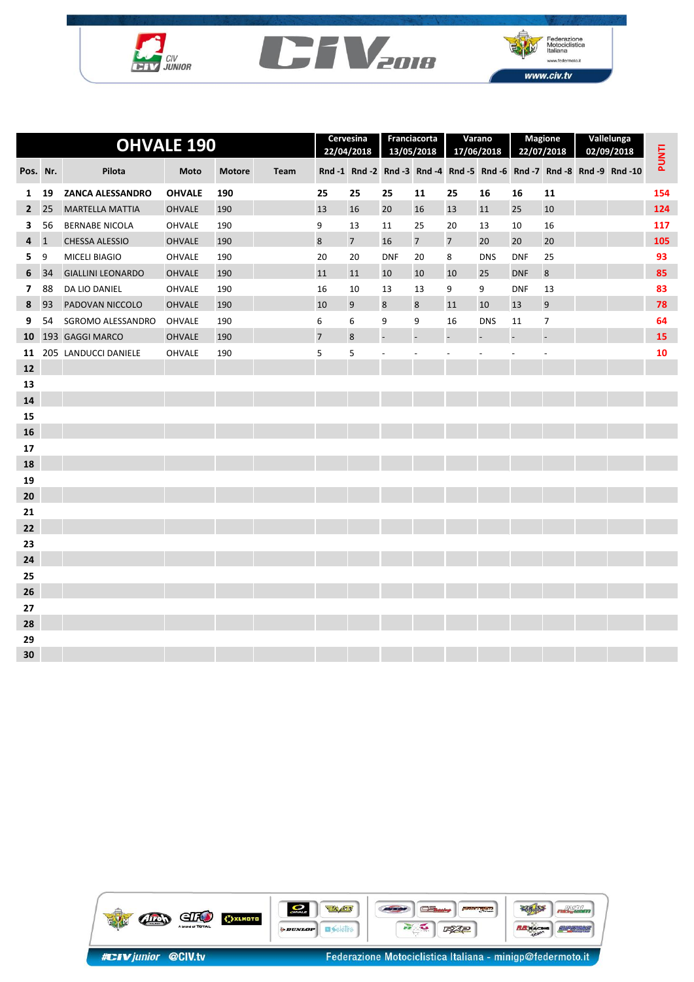





|                |              | <b>OHVALE 190</b>        |               | Cervesina<br>22/04/2018 |      | Franciacorta<br>13/05/2018 |             |                | Varano<br>17/06/2018     |                | <b>Magione</b><br>22/07/2018 | Vallelunga<br>02/09/2018 |                | <b>PUNTI</b> |                                                                        |     |
|----------------|--------------|--------------------------|---------------|-------------------------|------|----------------------------|-------------|----------------|--------------------------|----------------|------------------------------|--------------------------|----------------|--------------|------------------------------------------------------------------------|-----|
| Pos. Nr.       |              | Pilota                   | Moto          | <b>Motore</b>           | Team |                            |             |                |                          |                |                              |                          |                |              | Rnd -1 Rnd -2 Rnd -3 Rnd -4 Rnd -5 Rnd -6 Rnd -7 Rnd -8 Rnd -9 Rnd -10 |     |
| 1              | 19           | <b>ZANCA ALESSANDRO</b>  | <b>OHVALE</b> | 190                     |      | 25                         | 25          | 25             | 11                       | 25             | 16                           | 16                       | 11             |              |                                                                        | 154 |
| $2^{\circ}$    | 25           | <b>MARTELLA MATTIA</b>   | <b>OHVALE</b> | 190                     |      | 13                         | 16          | 20             | 16                       | 13             | 11                           | 25                       | 10             |              |                                                                        | 124 |
| 3              | 56           | <b>BERNABE NICOLA</b>    | <b>OHVALE</b> | 190                     |      | 9                          | 13          | 11             | 25                       | 20             | 13                           | 10                       | 16             |              |                                                                        | 117 |
| 4              | $\mathbf{1}$ | <b>CHESSA ALESSIO</b>    | <b>OHVALE</b> | 190                     |      | 8                          | $7^{\circ}$ | 16             | $\overline{7}$           | $\overline{7}$ | 20                           | 20                       | 20             |              |                                                                        | 105 |
| 5.             | 9            | MICELI BIAGIO            | OHVALE        | 190                     |      | 20                         | 20          | <b>DNF</b>     | 20                       | 8              | <b>DNS</b>                   | <b>DNF</b>               | 25             |              |                                                                        | 93  |
| 6              | 34           | <b>GIALLINI LEONARDO</b> | <b>OHVALE</b> | 190                     |      | 11                         | 11          | 10             | 10                       | 10             | 25                           | <b>DNF</b>               | $\bf 8$        |              |                                                                        | 85  |
| $\overline{7}$ | 88           | DA LIO DANIEL            | <b>OHVALE</b> | 190                     |      | 16                         | 10          | 13             | 13                       | 9              | 9                            | <b>DNF</b>               | 13             |              |                                                                        | 83  |
| 8              | 93           | PADOVAN NICCOLO          | <b>OHVALE</b> | 190                     |      | 10                         | 9           | 8              | 8                        | 11             | 10                           | 13                       | 9              |              |                                                                        | 78  |
| 9              | 54           | SGROMO ALESSANDRO        | OHVALE        | 190                     |      | 6                          | 6           | 9              | 9                        | 16             | <b>DNS</b>                   | 11                       | $\overline{7}$ |              |                                                                        | 64  |
| 10             |              | 193 GAGGI MARCO          | <b>OHVALE</b> | 190                     |      | $\overline{7}$             | 8           |                |                          |                |                              |                          |                |              |                                                                        | 15  |
| 11             |              | 205 LANDUCCI DANIELE     | <b>OHVALE</b> | 190                     |      | 5                          | 5           | $\overline{a}$ | $\overline{\phantom{a}}$ |                |                              |                          | $\overline{a}$ |              |                                                                        | 10  |
| 12             |              |                          |               |                         |      |                            |             |                |                          |                |                              |                          |                |              |                                                                        |     |
| 13             |              |                          |               |                         |      |                            |             |                |                          |                |                              |                          |                |              |                                                                        |     |
| 14             |              |                          |               |                         |      |                            |             |                |                          |                |                              |                          |                |              |                                                                        |     |
| 15             |              |                          |               |                         |      |                            |             |                |                          |                |                              |                          |                |              |                                                                        |     |
| 16             |              |                          |               |                         |      |                            |             |                |                          |                |                              |                          |                |              |                                                                        |     |
| 17             |              |                          |               |                         |      |                            |             |                |                          |                |                              |                          |                |              |                                                                        |     |
| 18             |              |                          |               |                         |      |                            |             |                |                          |                |                              |                          |                |              |                                                                        |     |
| 19             |              |                          |               |                         |      |                            |             |                |                          |                |                              |                          |                |              |                                                                        |     |
| 20             |              |                          |               |                         |      |                            |             |                |                          |                |                              |                          |                |              |                                                                        |     |
| 21             |              |                          |               |                         |      |                            |             |                |                          |                |                              |                          |                |              |                                                                        |     |
| 22             |              |                          |               |                         |      |                            |             |                |                          |                |                              |                          |                |              |                                                                        |     |
| 23             |              |                          |               |                         |      |                            |             |                |                          |                |                              |                          |                |              |                                                                        |     |
| 24             |              |                          |               |                         |      |                            |             |                |                          |                |                              |                          |                |              |                                                                        |     |
| 25             |              |                          |               |                         |      |                            |             |                |                          |                |                              |                          |                |              |                                                                        |     |
| 26             |              |                          |               |                         |      |                            |             |                |                          |                |                              |                          |                |              |                                                                        |     |
| 27             |              |                          |               |                         |      |                            |             |                |                          |                |                              |                          |                |              |                                                                        |     |
| 28             |              |                          |               |                         |      |                            |             |                |                          |                |                              |                          |                |              |                                                                        |     |
| 29             |              |                          |               |                         |      |                            |             |                |                          |                |                              |                          |                |              |                                                                        |     |
| 30             |              |                          |               |                         |      |                            |             |                |                          |                |                              |                          |                |              |                                                                        |     |

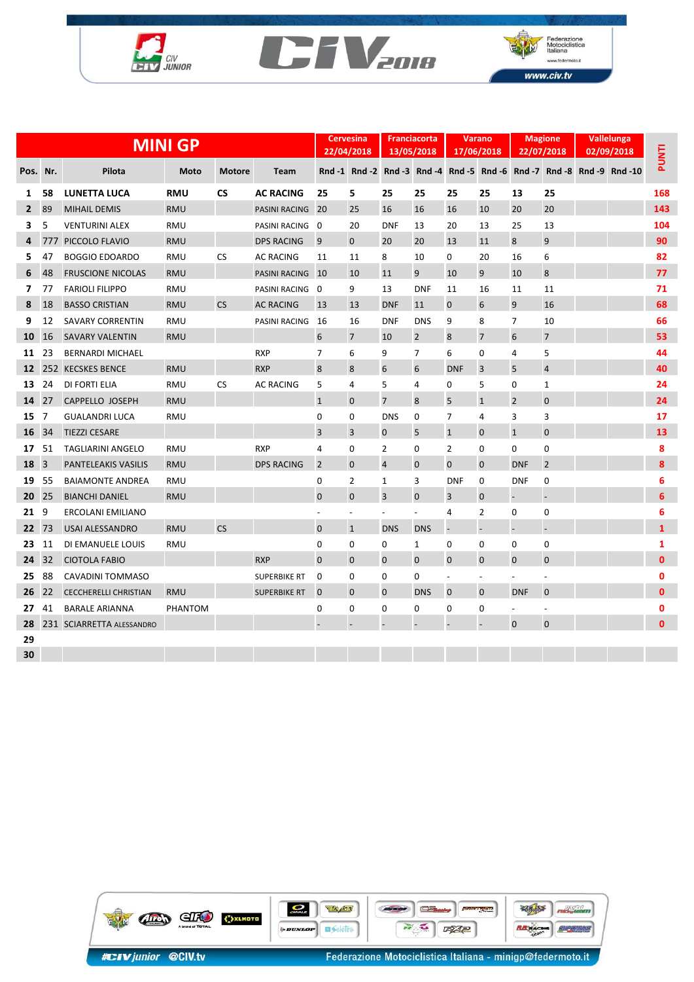





|                |     | <b>MINI GP</b>               |            | <b>Cervesina</b><br>22/04/2018 |                     | <b>Franciacorta</b><br>13/05/2018 |                          |                | <b>Varano</b><br>17/06/2018 | <b>Magione</b><br>22/07/2018 |                          | Vallelunga<br>02/09/2018 |                          | <b>PUNTI</b> |                                                                        |              |
|----------------|-----|------------------------------|------------|--------------------------------|---------------------|-----------------------------------|--------------------------|----------------|-----------------------------|------------------------------|--------------------------|--------------------------|--------------------------|--------------|------------------------------------------------------------------------|--------------|
| Pos.           | Nr. | Pilota                       | Moto       | <b>Motore</b>                  | Team                |                                   |                          |                |                             |                              |                          |                          |                          |              | Rnd -1 Rnd -2 Rnd -3 Rnd -4 Rnd -5 Rnd -6 Rnd -7 Rnd -8 Rnd -9 Rnd -10 |              |
| 1              | 58  | <b>LUNETTA LUCA</b>          | <b>RMU</b> | <b>CS</b>                      | <b>AC RACING</b>    | 25                                | 5                        | 25             | 25                          | 25                           | 25                       | 13                       | 25                       |              |                                                                        | 168          |
| $\overline{2}$ | 89  | <b>MIHAIL DEMIS</b>          | <b>RMU</b> |                                | PASINI RACING       | 20                                | 25                       | 16             | 16                          | 16                           | 10                       | 20                       | 20                       |              |                                                                        | 143          |
| 3              | 5   | <b>VENTURINI ALEX</b>        | <b>RMU</b> |                                | PASINI RACING 0     |                                   | 20                       | <b>DNF</b>     | 13                          | 20                           | 13                       | 25                       | 13                       |              |                                                                        | 104          |
| 4              |     | 777 PICCOLO FLAVIO           | <b>RMU</b> |                                | <b>DPS RACING</b>   | 9                                 | $\mathbf{0}$             | 20             | 20                          | 13                           | 11                       | 8                        | 9                        |              |                                                                        | 90           |
| 5              | 47  | <b>BOGGIO EDOARDO</b>        | RMU        | CS                             | <b>AC RACING</b>    | 11                                | 11                       | 8              | 10                          | 0                            | 20                       | 16                       | 6                        |              |                                                                        | 82           |
| 6              | 48  | <b>FRUSCIONE NICOLAS</b>     | <b>RMU</b> |                                | PASINI RACING 10    |                                   | 10                       | 11             | 9                           | 10                           | 9                        | 10                       | 8                        |              |                                                                        | 77           |
| 7              | 77  | <b>FARIOLI FILIPPO</b>       | <b>RMU</b> |                                | PASINI RACING 0     |                                   | 9                        | 13             | <b>DNF</b>                  | 11                           | 16                       | 11                       | 11                       |              |                                                                        | 71           |
| 8              | 18  | <b>BASSO CRISTIAN</b>        | <b>RMU</b> | <b>CS</b>                      | <b>AC RACING</b>    | 13                                | 13                       | <b>DNF</b>     | 11                          | $\mathbf{0}$                 | 6                        | 9                        | 16                       |              |                                                                        | 68           |
| 9              | 12  | <b>SAVARY CORRENTIN</b>      | <b>RMU</b> |                                | PASINI RACING       | 16                                | 16                       | <b>DNF</b>     | <b>DNS</b>                  | 9                            | 8                        | $\overline{7}$           | 10                       |              |                                                                        | 66           |
| 10             | 16  | <b>SAVARY VALENTIN</b>       | <b>RMU</b> |                                |                     | 6                                 | $\overline{7}$           | 10             | $\overline{2}$              | 8                            | $\overline{7}$           | 6                        | 7                        |              |                                                                        | 53           |
| 11             | 23  | <b>BERNARDI MICHAEL</b>      |            |                                | <b>RXP</b>          | 7                                 | 6                        | 9              | 7                           | 6                            | 0                        | 4                        | 5                        |              |                                                                        | 44           |
| 12             |     | 252 KECSKES BENCE            | <b>RMU</b> |                                | <b>RXP</b>          | 8                                 | 8                        | 6              | 6                           | <b>DNF</b>                   | 3                        | 5                        | $\overline{4}$           |              |                                                                        | 40           |
| 13             | 24  | DI FORTI ELIA                | <b>RMU</b> | <b>CS</b>                      | <b>AC RACING</b>    | 5                                 | 4                        | 5              | 4                           | 0                            | 5                        | 0                        | 1                        |              |                                                                        | 24           |
| 14             | 27  | <b>CAPPELLO JOSEPH</b>       | <b>RMU</b> |                                |                     | $\mathbf{1}$                      | $\mathbf 0$              | $\overline{7}$ | 8                           | 5                            | $\mathbf{1}$             | $\overline{2}$           | $\mathbf 0$              |              |                                                                        | 24           |
| 15             | 7   | <b>GUALANDRI LUCA</b>        | <b>RMU</b> |                                |                     | 0                                 | 0                        | <b>DNS</b>     | $\mathbf 0$                 | 7                            | 4                        | 3                        | 3                        |              |                                                                        | 17           |
| 16             | 34  | <b>TIEZZI CESARE</b>         |            |                                |                     | 3                                 | 3                        | $\mathbf 0$    | 5                           | $\mathbf{1}$                 | $\mathbf{0}$             | $\mathbf{1}$             | $\mathbf 0$              |              |                                                                        | 13           |
| 17             | 51  | <b>TAGLIARINI ANGELO</b>     | <b>RMU</b> |                                | <b>RXP</b>          | 4                                 | 0                        | $\overline{2}$ | 0                           | $\overline{2}$               | $\mathbf 0$              | 0                        | $\pmb{0}$                |              |                                                                        | 8            |
| 18             | 3   | <b>PANTELEAKIS VASILIS</b>   | <b>RMU</b> |                                | <b>DPS RACING</b>   | $\overline{2}$                    | $\mathbf{0}$             | $\overline{4}$ | $\mathbf 0$                 | $\Omega$                     | $\mathbf 0$              | <b>DNF</b>               | $\overline{2}$           |              |                                                                        | 8            |
| 19             | 55  | <b>BAIAMONTE ANDREA</b>      | <b>RMU</b> |                                |                     | 0                                 | 2                        | 1              | 3                           | <b>DNF</b>                   | $\mathbf 0$              | <b>DNF</b>               | 0                        |              |                                                                        | 6            |
| 20             | 25  | <b>BIANCHI DANIEL</b>        | <b>RMU</b> |                                |                     | 0                                 | $\mathbf 0$              | $\overline{3}$ | $\mathbf 0$                 | 3                            | $\mathbf 0$              |                          |                          |              |                                                                        | 6            |
| 21             | 9   | <b>ERCOLANI EMILIANO</b>     |            |                                |                     |                                   | $\overline{\phantom{0}}$ |                | $\overline{a}$              | 4                            | $\overline{2}$           | $\mathbf 0$              | $\mathbf 0$              |              |                                                                        | 6            |
| 22             | 73  | <b>USAI ALESSANDRO</b>       | <b>RMU</b> | <b>CS</b>                      |                     | $\mathbf 0$                       | $\mathbf{1}$             | <b>DNS</b>     | <b>DNS</b>                  |                              |                          |                          |                          |              |                                                                        | $\mathbf{1}$ |
| 23             | 11  | DI EMANUELE LOUIS            | RMU        |                                |                     | 0                                 | 0                        | $\mathbf 0$    | $\mathbf{1}$                | 0                            | 0                        | 0                        | $\pmb{0}$                |              |                                                                        | $\mathbf{1}$ |
| 24             | 32  | <b>CIOTOLA FABIO</b>         |            |                                | <b>RXP</b>          | $\mathbf 0$                       | $\mathbf 0$              | $\mathbf 0$    | $\mathbf{0}$                | $\mathbf{0}$                 | $\mathbf 0$              | $\mathbf 0$              | $\mathbf{0}$             |              |                                                                        | 0            |
| 25             | 88  | <b>CAVADINI TOMMASO</b>      |            |                                | <b>SUPERBIKE RT</b> | 0                                 | 0                        | 0              | 0                           | $\overline{a}$               | $\overline{\phantom{a}}$ | $\overline{\phantom{a}}$ | $\overline{\phantom{a}}$ |              |                                                                        | $\mathbf 0$  |
| 26             | 22  | <b>CECCHERELLI CHRISTIAN</b> | <b>RMU</b> |                                | <b>SUPERBIKE RT</b> | $\mathbf 0$                       | $\mathbf 0$              | $\mathbf 0$    | <b>DNS</b>                  | 0                            | $\mathbf 0$              | <b>DNF</b>               | $\mathbf 0$              |              |                                                                        | 0            |
| 27             | 41  | <b>BARALE ARIANNA</b>        | PHANTOM    |                                |                     | 0                                 | 0                        | 0              | 0                           | 0                            | 0                        | $\overline{\phantom{a}}$ |                          |              |                                                                        | 0            |
| 28             |     | 231 SCIARRETTA ALESSANDRO    |            |                                |                     |                                   |                          |                |                             |                              |                          | $\mathbf 0$              | $\mathbf 0$              |              |                                                                        | 0            |
| 29             |     |                              |            |                                |                     |                                   |                          |                |                             |                              |                          |                          |                          |              |                                                                        |              |
| 30             |     |                              |            |                                |                     |                                   |                          |                |                             |                              |                          |                          |                          |              |                                                                        |              |

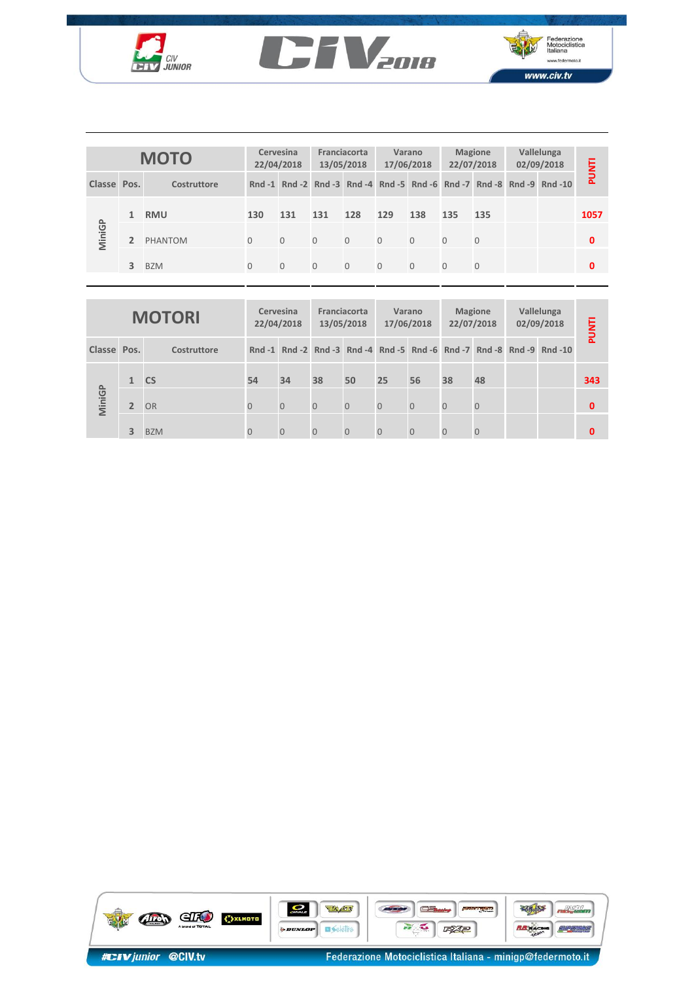





| <b>MOTO</b> |   |             | Cervesina<br>22/04/2018 |          | Franciacorta<br>13/05/2018 |          |                | Varano<br>17/06/2018 |          | <b>Magione</b><br>22/07/2018 | Vallelunga<br>02/09/2018 |                                                                        | PUNTI |
|-------------|---|-------------|-------------------------|----------|----------------------------|----------|----------------|----------------------|----------|------------------------------|--------------------------|------------------------------------------------------------------------|-------|
| Classe Pos. |   | Costruttore |                         |          |                            |          |                |                      |          |                              |                          | Rnd -1 Rnd -2 Rnd -3 Rnd -4 Rnd -5 Rnd -6 Rnd -7 Rnd -8 Rnd -9 Rnd -10 |       |
| MiniGP      | 1 | <b>RMU</b>  | 130                     | 131      | 131                        | 128      | 129            | 138                  | 135      | 135                          |                          |                                                                        | 1057  |
|             |   | PHANTOM     | $\Omega$                | $\Omega$ | $\Omega$                   | $\Omega$ | $\overline{0}$ | $\Omega$             | $\Omega$ | $\Omega$                     |                          |                                                                        | 0     |
|             | 3 | <b>BZM</b>  | $\Omega$                | $\Omega$ | $\Omega$                   | $\Omega$ | $\overline{0}$ | $\Omega$             | $\Omega$ | $\Omega$                     |                          |                                                                        | 0     |

|               |                | <b>UIUI</b> |                         | 22/04/2018          |                            | 13/05/2018   |                     | 17/06/2018                                       | 22/07/2018     |                          | 02/09/2018 |                                                                        |              |
|---------------|----------------|-------------|-------------------------|---------------------|----------------------------|--------------|---------------------|--------------------------------------------------|----------------|--------------------------|------------|------------------------------------------------------------------------|--------------|
| <b>Classe</b> | Pos.           | Costruttore |                         |                     |                            |              |                     |                                                  |                |                          |            | Rnd -1 Rnd -2 Rnd -3 Rnd -4 Rnd -5 Rnd -6 Rnd -7 Rnd -8 Rnd -9 Rnd -10 | PUNTI        |
|               | $\mathbf{1}$   | <b>RMU</b>  | 130                     | 131                 | 131                        | 128          | 129                 | 138                                              | 135            | 135                      |            |                                                                        | 1057         |
| MiniGP        | $\overline{2}$ | PHANTOM     | $\mathbf{O}$            | $\mathsf{O}\xspace$ | $\overline{0}$             | $\mathbf{0}$ | $\mathbf 0$         | $\mathbf{0}$                                     | $\mathbf{O}$   | $\mathbf 0$              |            |                                                                        | $\mathbf 0$  |
|               | $\overline{3}$ | <b>BZM</b>  | $\mathbf{O}$            | $\mathbf{0}$        | $\overline{0}$             | $\mathbf{0}$ | $\mathbf{0}$        | $\mathbf{0}$                                     | $\mathbf{O}$   | $\mathbf 0$              |            |                                                                        | $\mathbf{0}$ |
|               |                |             |                         |                     |                            |              |                     |                                                  |                |                          |            |                                                                        |              |
| <b>MOTORI</b> |                |             | Cervesina<br>22/04/2018 |                     | Franciacorta<br>13/05/2018 |              |                     | <b>Magione</b><br>22/07/2018                     |                | Vallelunga<br>02/09/2018 |            |                                                                        |              |
|               |                |             |                         |                     |                            |              |                     | Varano<br>17/06/2018                             |                |                          |            |                                                                        |              |
| <b>Classe</b> | Pos.           | Costruttore |                         |                     |                            |              |                     | Rnd -1 Rnd -2 Rnd -3 Rnd -4 Rnd -5 Rnd -6 Rnd -7 |                |                          |            | Rnd -8 Rnd -9 Rnd -10                                                  | <b>PUNTI</b> |
|               | $\mathbf{1}$   | <b>CS</b>   | 54                      | 34                  | 38                         | 50           | 25                  | 56                                               | 38             | 48                       |            |                                                                        | 343          |
| MiniGP        | $\overline{2}$ | <b>OR</b>   | $\mathbf 0$             | $\mathbf 0$         | $\overline{0}$             | $\mathbf 0$  | $\mathsf{O}\xspace$ | $\overline{O}$                                   | $\overline{O}$ | $\theta$                 |            |                                                                        | $\mathbf 0$  |